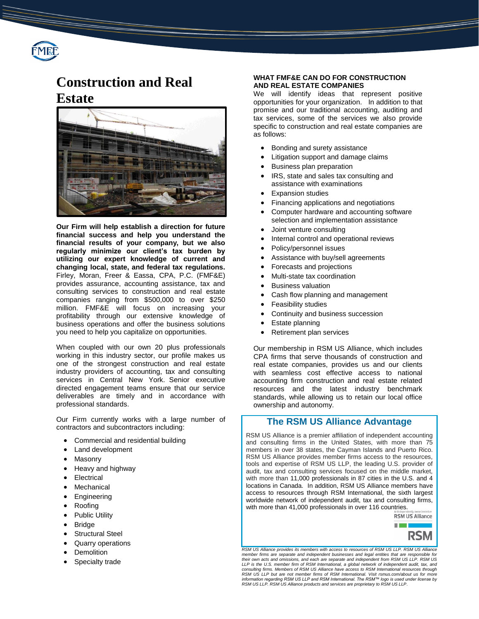

# **Construction and Real Estate**



**Our Firm will help establish a direction for future financial success and help you understand the financial results of your company, but we also regularly minimize our client's tax burden by utilizing our expert knowledge of current and changing local, state, and federal tax regulations.** Firley, Moran, Freer & Eassa, CPA, P.C. (FMF&E) provides assurance, accounting assistance, tax and consulting services to construction and real estate companies ranging from \$500,000 to over \$250 million. FMF&E will focus on increasing your profitability through our extensive knowledge of business operations and offer the business solutions you need to help you capitalize on opportunities.

When coupled with our own 20 plus professionals working in this industry sector, our profile makes us one of the strongest construction and real estate industry providers of accounting, tax and consulting services in Central New York. Senior executive directed engagement teams ensure that our service deliverables are timely and in accordance with professional standards.

Our Firm currently works with a large number of contractors and subcontractors including:

- Commercial and residential building
- Land development
- Masonry
- Heavy and highway
- Electrical
- Mechanical
- Engineering
- Roofing
- Public Utility
- Bridge
- Structural Steel
- Quarry operations
- **Demolition**
- Specialty trade

#### **WHAT FMF&E CAN DO FOR CONSTRUCTION AND REAL ESTATE COMPANIES**

We will identify ideas that represent positive opportunities for your organization. In addition to that promise and our traditional accounting, auditing and tax services, some of the services we also provide specific to construction and real estate companies are as follows:

- Bonding and surety assistance
- Litigation support and damage claims
- Business plan preparation
- IRS, state and sales tax consulting and assistance with examinations
- Expansion studies
- Financing applications and negotiations
- Computer hardware and accounting software selection and implementation assistance
- Joint venture consulting
- Internal control and operational reviews
- Policy/personnel issues
- Assistance with buy/sell agreements
- Forecasts and projections
- Multi-state tax coordination
- Business valuation
- Cash flow planning and management
- Feasibility studies
- Continuity and business succession
- Estate planning
- Retirement plan services

Our membership in RSM US Alliance, which includes CPA firms that serve thousands of construction and real estate companies, provides us and our clients with seamless cost effective access to national accounting firm construction and real estate related resources and the latest industry benchmark standards, while allowing us to retain our local office ownership and autonomy.

### **The RSM US Alliance Advantage**

RSM US Alliance is a premier affiliation of independent accounting and consulting firms in the United States, with more than 75 members in over 38 states, the Cayman Islands and Puerto Rico. RSM US Alliance provides member firms access to the resources, tools and expertise of RSM US LLP, the leading U.S. provider of audit, tax and consulting services focused on the middle market, with more than 11,000 professionals in 87 cities in the U.S. and 4 locations in Canada. In addition, RSM US Alliance members have access to resources through RSM International, the sixth largest worldwide network of independent audit, tax and consulting firms, with more than 41,000 professionals in over 116 countries.



**RSM US Alliance provides its members with access to resources of RSM US LLP. RSM US All** member firms are separate and independent businesses and legal entities that are responsible for<br>their own acts and omissions, and each are separate and independent from RSM US LLP. RSM US<br>LLP is the U.S. member firm of RS *consulting firms. Members of RSM US Alliance have access to RSM International resources through RSM US LLP but are not member firms of RSM International. Visit rsmus.com/about us for more information regarding RSM US LLP and RSM International. The RSM™ logo is used under license by RSM US LLP. RSM US Alliance products and services are proprietary to RSM US LLP*.